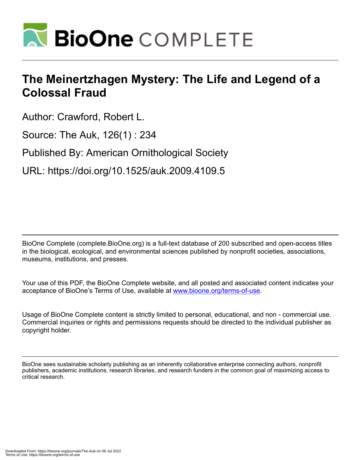

## **The Meinertzhagen Mystery: The Life and Legend of a Colossal Fraud**

Author: Crawford, Robert L. Source: The Auk, 126(1) : 234

Published By: American Ornithological Society

URL: https://doi.org/10.1525/auk.2009.4109.5

BioOne Complete (complete.BioOne.org) is a full-text database of 200 subscribed and open-access titles in the biological, ecological, and environmental sciences published by nonprofit societies, associations, museums, institutions, and presses.

Your use of this PDF, the BioOne Complete website, and all posted and associated content indicates your acceptance of BioOne's Terms of Use, available at www.bioone.org/terms-of-use.

Usage of BioOne Complete content is strictly limited to personal, educational, and non - commercial use. Commercial inquiries or rights and permissions requests should be directed to the individual publisher as copyright holder.

BioOne sees sustainable scholarly publishing as an inherently collaborative enterprise connecting authors, nonprofit publishers, academic institutions, research libraries, and research funders in the common goal of maximizing access to critical research.